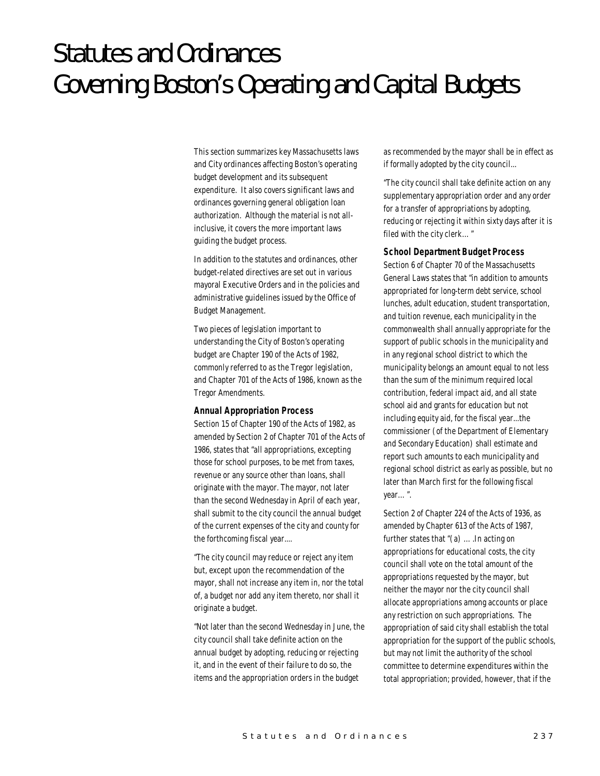# Statutes and Ordinances Governing Boston's Operating and Capital Budgets

This section summarizes key Massachusetts laws and City ordinances affecting Boston's operating budget development and its subsequent expenditure. It also covers significant laws and ordinances governing general obligation loan authorization. Although the material is not allinclusive, it covers the more important laws guiding the budget process.

In addition to the statutes and ordinances, other budget-related directives are set out in various mayoral Executive Orders and in the policies and administrative guidelines issued by the Office of Budget Management.

Two pieces of legislation important to understanding the City of Boston's operating budget are Chapter 190 of the Acts of 1982, commonly referred to as the Tregor legislation, and Chapter 701 of the Acts of 1986, known as the Tregor Amendments.

#### *Annual Appropriation Process*

Section 15 of Chapter 190 of the Acts of 1982, as amended by Section 2 of Chapter 701 of the Acts of 1986, states that "all appropriations, excepting those for school purposes, to be met from taxes, revenue or any source other than loans, shall originate with the mayor. The mayor, not later than the second Wednesday in April of each year, shall submit to the city council the annual budget of the current expenses of the city and county for the forthcoming fiscal year....

"The city council may reduce or reject any item but, except upon the recommendation of the mayor, shall not increase any item in, nor the total of, a budget nor add any item thereto, nor shall it originate a budget.

"Not later than the second Wednesday in June, the city council shall take definite action on the annual budget by adopting, reducing or rejecting it, and in the event of their failure to do so, the items and the appropriation orders in the budget

as recommended by the mayor shall be in effect as if formally adopted by the city council...

"The city council shall take definite action on any supplementary appropriation order and any order for a transfer of appropriations by adopting, reducing or rejecting it within sixty days after it is filed with the city clerk…"

#### *School Department Budget Process*

Section 6 of Chapter 70 of the Massachusetts General Laws states that "in addition to amounts appropriated for long-term debt service, school lunches, adult education, student transportation, and tuition revenue, each municipality in the commonwealth shall annually appropriate for the support of public schools in the municipality and in any regional school district to which the municipality belongs an amount equal to not less than the sum of the minimum required local contribution, federal impact aid, and all state school aid and grants for education but not including equity aid, for the fiscal year...the commissioner (of the Department of Elementary and Secondary Education) shall estimate and report such amounts to each municipality and regional school district as early as possible, but no later than March first for the following fiscal year…".

Section 2 of Chapter 224 of the Acts of 1936, as amended by Chapter 613 of the Acts of 1987, further states that "(a) ….In acting on appropriations for educational costs, the city council shall vote on the total amount of the appropriations requested by the mayor, but neither the mayor nor the city council shall allocate appropriations among accounts or place any restriction on such appropriations. The appropriation of said city shall establish the total appropriation for the support of the public schools, but may not limit the authority of the school committee to determine expenditures within the total appropriation; provided, however, that if the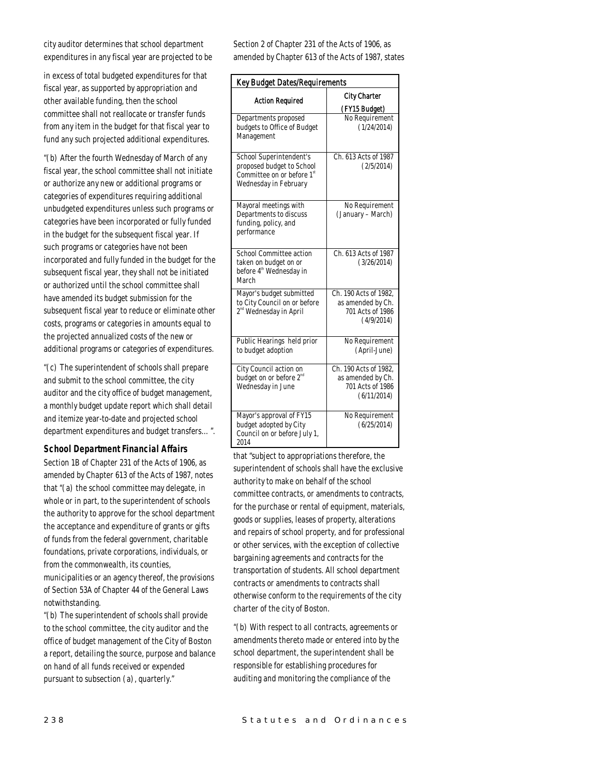city auditor determines that school department expenditures in any fiscal year are projected to be

in excess of total budgeted expenditures for that fiscal year, as supported by appropriation and other available funding, then the school committee shall not reallocate or transfer funds from any item in the budget for that fiscal year to fund any such projected additional expenditures.

"(b) After the fourth Wednesday of March of any fiscal year, the school committee shall not initiate or authorize any new or additional programs or categories of expenditures requiring additional unbudgeted expenditures unless such programs or categories have been incorporated or fully funded in the budget for the subsequent fiscal year. If such programs or categories have not been incorporated and fully funded in the budget for the subsequent fiscal year, they shall not be initiated or authorized until the school committee shall have amended its budget submission for the subsequent fiscal year to reduce or eliminate other costs, programs or categories in amounts equal to the projected annualized costs of the new or additional programs or categories of expenditures.

"(c) The superintendent of schools shall prepare and submit to the school committee, the city auditor and the city office of budget management, a monthly budget update report which shall detail and itemize year-to-date and projected school department expenditures and budget transfers…".

#### *School Department Financial Affairs*

Section 1B of Chapter 231 of the Acts of 1906, as amended by Chapter 613 of the Acts of 1987, notes that "(a) the school committee may delegate, in whole or in part, to the superintendent of schools the authority to approve for the school department the acceptance and expenditure of grants or gifts of funds from the federal government, charitable foundations, private corporations, individuals, or from the commonwealth, its counties, municipalities or an agency thereof, the provisions of Section 53A of Chapter 44 of the General Laws

"(b) The superintendent of schools shall provide to the school committee, the city auditor and the office of budget management of the City of Boston a report, detailing the source, purpose and balance on hand of all funds received or expended pursuant to subsection (a), quarterly."

Section 2 of Chapter 231 of the Acts of 1906, as amended by Chapter 613 of the Acts of 1987, states

| <b>Key Budget Dates/Requirements</b>                                                                                    |                                                                               |
|-------------------------------------------------------------------------------------------------------------------------|-------------------------------------------------------------------------------|
| <b>Action Required</b>                                                                                                  | <b>City Charter</b><br>(FY15 Budget)                                          |
| Departments proposed<br>budgets to Office of Budget<br>Management                                                       | No Requirement<br>(1/24/2014)                                                 |
| School Superintendent's<br>proposed budget to School<br>Committee on or before 1 <sup>st</sup><br>Wednesday in February | Ch. 613 Acts of 1987<br>(2/5/2014)                                            |
| Mayoral meetings with<br>Departments to discuss<br>funding, policy, and<br>performance                                  | No Requirement<br>(January – March)                                           |
| School Committee action<br>taken on budget on or<br>before 4 <sup>th</sup> Wednesday in<br>March                        | Ch. 613 Acts of 1987<br>(3/26/2014)                                           |
| Mayor's budget submitted<br>to City Council on or before<br>2 <sup>nd</sup> Wednesday in April                          | Ch. 190 Acts of 1982.<br>as amended by Ch.<br>701 Acts of 1986<br>(4/9/2014)  |
| Public Hearings held prior<br>to budget adoption                                                                        | No Requirement<br>(April-June)                                                |
| City Council action on<br>budget on or before 2 <sup>nd</sup><br>Wednesday in June                                      | Ch. 190 Acts of 1982,<br>as amended by Ch.<br>701 Acts of 1986<br>(6/11/2014) |
| Mayor's approval of FY15<br>budget adopted by City<br>Council on or before July 1,<br>2014                              | No Requirement<br>(6/25/2014)                                                 |

that "subject to appropriations therefore, the superintendent of schools shall have the exclusive authority to make on behalf of the school committee contracts, or amendments to contracts, for the purchase or rental of equipment, materials, goods or supplies, leases of property, alterations and repairs of school property, and for professional or other services, with the exception of collective bargaining agreements and contracts for the transportation of students. All school department contracts or amendments to contracts shall otherwise conform to the requirements of the city charter of the city of Boston.

"(b) With respect to all contracts, agreements or amendments thereto made or entered into by the school department, the superintendent shall be responsible for establishing procedures for auditing and monitoring the compliance of the

notwithstanding.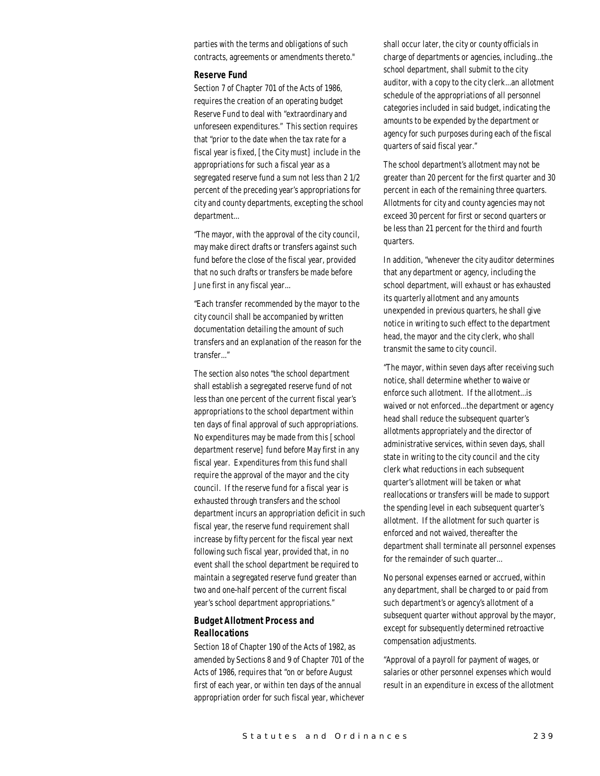parties with the terms and obligations of such contracts, agreements or amendments thereto."

#### *Reserve Fund*

Section 7 of Chapter 701 of the Acts of 1986, requires the creation of an operating budget Reserve Fund to deal with "extraordinary and unforeseen expenditures." This section requires that "prior to the date when the tax rate for a fiscal year is fixed, [the City must] include in the appropriations for such a fiscal year as a segregated reserve fund a sum not less than 2 1/2 percent of the preceding year's appropriations for city and county departments, excepting the school department...

"The mayor, with the approval of the city council, may make direct drafts or transfers against such fund before the close of the fiscal year, provided that no such drafts or transfers be made before June first in any fiscal year...

"Each transfer recommended by the mayor to the city council shall be accompanied by written documentation detailing the amount of such transfers and an explanation of the reason for the transfer..."

The section also notes "the school department shall establish a segregated reserve fund of not less than one percent of the current fiscal year's appropriations to the school department within ten days of final approval of such appropriations. No expenditures may be made from this [school department reserve] fund before May first in any fiscal year. Expenditures from this fund shall require the approval of the mayor and the city council. If the reserve fund for a fiscal year is exhausted through transfers and the school department incurs an appropriation deficit in such fiscal year, the reserve fund requirement shall increase by fifty percent for the fiscal year next following such fiscal year, provided that, in no event shall the school department be required to maintain a segregated reserve fund greater than two and one-half percent of the current fiscal year's school department appropriations."

# *Budget Allotment Process and Reallocations*

Section 18 of Chapter 190 of the Acts of 1982, as amended by Sections 8 and 9 of Chapter 701 of the Acts of 1986, requires that "on or before August first of each year, or within ten days of the annual appropriation order for such fiscal year, whichever shall occur later, the city or county officials in charge of departments or agencies, including...the school department, shall submit to the city auditor, with a copy to the city clerk...an allotment schedule of the appropriations of all personnel categories included in said budget, indicating the amounts to be expended by the department or agency for such purposes during each of the fiscal quarters of said fiscal year."

The school department's allotment may not be greater than 20 percent for the first quarter and 30 percent in each of the remaining three quarters. Allotments for city and county agencies may not exceed 30 percent for first or second quarters or be less than 21 percent for the third and fourth quarters.

In addition, "whenever the city auditor determines that any department or agency, including the school department, will exhaust or has exhausted its quarterly allotment and any amounts unexpended in previous quarters, he shall give notice in writing to such effect to the department head, the mayor and the city clerk, who shall transmit the same to city council.

"The mayor, within seven days after receiving such notice, shall determine whether to waive or enforce such allotment. If the allotment...is waived or not enforced...the department or agency head shall reduce the subsequent quarter's allotments appropriately and the director of administrative services, within seven days, shall state in writing to the city council and the city clerk what reductions in each subsequent quarter's allotment will be taken or what reallocations or transfers will be made to support the spending level in each subsequent quarter's allotment. If the allotment for such quarter is enforced and not waived, thereafter the department shall terminate all personnel expenses for the remainder of such quarter...

No personal expenses earned or accrued, within any department, shall be charged to or paid from such department's or agency's allotment of a subsequent quarter without approval by the mayor, except for subsequently determined retroactive compensation adjustments.

"Approval of a payroll for payment of wages, or salaries or other personnel expenses which would result in an expenditure in excess of the allotment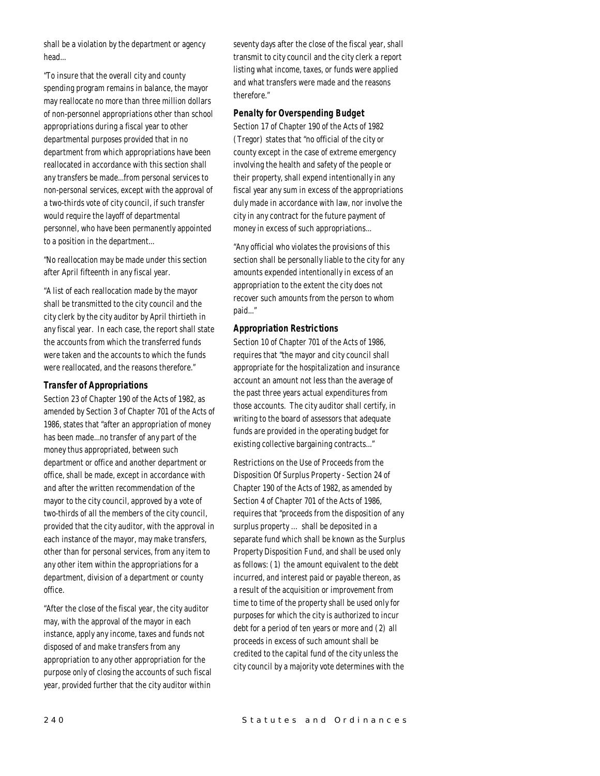shall be a violation by the department or agency head...

"To insure that the overall city and county spending program remains in balance, the mayor may reallocate no more than three million dollars of non-personnel appropriations other than school appropriations during a fiscal year to other departmental purposes provided that in no department from which appropriations have been reallocated in accordance with this section shall any transfers be made...from personal services to non-personal services, except with the approval of a two-thirds vote of city council, if such transfer would require the layoff of departmental personnel, who have been permanently appointed to a position in the department...

"No reallocation may be made under this section after April fifteenth in any fiscal year.

"A list of each reallocation made by the mayor shall be transmitted to the city council and the city clerk by the city auditor by April thirtieth in any fiscal year. In each case, the report shall state the accounts from which the transferred funds were taken and the accounts to which the funds were reallocated, and the reasons therefore."

## *Transfer of Appropriations*

Section 23 of Chapter 190 of the Acts of 1982, as amended by Section 3 of Chapter 701 of the Acts of 1986, states that "after an appropriation of money has been made...no transfer of any part of the money thus appropriated, between such department or office and another department or office, shall be made, except in accordance with and after the written recommendation of the mayor to the city council, approved by a vote of two-thirds of all the members of the city council, provided that the city auditor, with the approval in each instance of the mayor, may make transfers, other than for personal services, from any item to any other item within the appropriations for a department, division of a department or county office.

"After the close of the fiscal year, the city auditor may, with the approval of the mayor in each instance, apply any income, taxes and funds not disposed of and make transfers from any appropriation to any other appropriation for the purpose only of closing the accounts of such fiscal year, provided further that the city auditor within

seventy days after the close of the fiscal year, shall transmit to city council and the city clerk a report listing what income, taxes, or funds were applied and what transfers were made and the reasons therefore."

#### *Penalty for Overspending Budget*

Section 17 of Chapter 190 of the Acts of 1982 (Tregor) states that "no official of the city or county except in the case of extreme emergency involving the health and safety of the people or their property, shall expend intentionally in any fiscal year any sum in excess of the appropriations duly made in accordance with law, nor involve the city in any contract for the future payment of money in excess of such appropriations...

"Any official who violates the provisions of this section shall be personally liable to the city for any amounts expended intentionally in excess of an appropriation to the extent the city does not recover such amounts from the person to whom paid..."

## *Appropriation Restrictions*

Section 10 of Chapter 701 of the Acts of 1986, requires that "the mayor and city council shall appropriate for the hospitalization and insurance account an amount not less than the average of the past three years actual expenditures from those accounts. The city auditor shall certify, in writing to the board of assessors that adequate funds are provided in the operating budget for existing collective bargaining contracts..."

Restrictions on the Use of Proceeds from the Disposition Of Surplus Property - Section 24 of Chapter 190 of the Acts of 1982, as amended by Section 4 of Chapter 701 of the Acts of 1986, requires that "proceeds from the disposition of any surplus property … shall be deposited in a separate fund which shall be known as the Surplus Property Disposition Fund, and shall be used only as follows: (1) the amount equivalent to the debt incurred, and interest paid or payable thereon, as a result of the acquisition or improvement from time to time of the property shall be used only for purposes for which the city is authorized to incur debt for a period of ten years or more and (2) all proceeds in excess of such amount shall be credited to the capital fund of the city unless the city council by a majority vote determines with the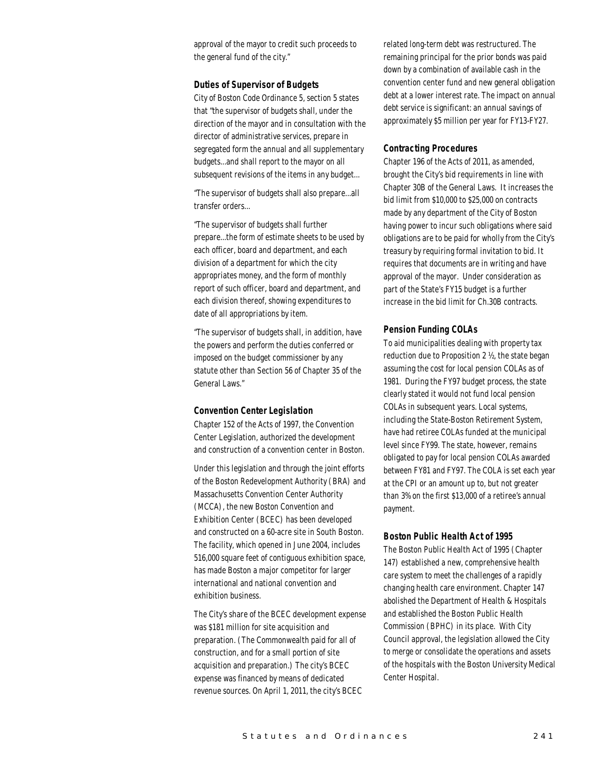approval of the mayor to credit such proceeds to the general fund of the city."

#### *Duties of Supervisor of Budgets*

City of Boston Code Ordinance 5, section 5 states that "the supervisor of budgets shall, under the direction of the mayor and in consultation with the director of administrative services, prepare in segregated form the annual and all supplementary budgets...and shall report to the mayor on all subsequent revisions of the items in any budget...

"The supervisor of budgets shall also prepare...all transfer orders...

"The supervisor of budgets shall further prepare...the form of estimate sheets to be used by each officer, board and department, and each division of a department for which the city appropriates money, and the form of monthly report of such officer, board and department, and each division thereof, showing expenditures to date of all appropriations by item.

"The supervisor of budgets shall, in addition, have the powers and perform the duties conferred or imposed on the budget commissioner by any statute other than Section 56 of Chapter 35 of the General Laws."

#### *Convention Center Legislation*

Chapter 152 of the Acts of 1997, the Convention Center Legislation, authorized the development and construction of a convention center in Boston.

Under this legislation and through the joint efforts of the Boston Redevelopment Authority (BRA) and Massachusetts Convention Center Authority (MCCA), the new Boston Convention and Exhibition Center (BCEC) has been developed and constructed on a 60-acre site in South Boston. The facility, which opened in June 2004, includes 516,000 square feet of contiguous exhibition space, has made Boston a major competitor for larger international and national convention and exhibition business.

The City's share of the BCEC development expense was \$181 million for site acquisition and preparation. (The Commonwealth paid for all of construction, and for a small portion of site acquisition and preparation.) The city's BCEC expense was financed by means of dedicated revenue sources. On April 1, 2011, the city's BCEC

related long-term debt was restructured. The remaining principal for the prior bonds was paid down by a combination of available cash in the convention center fund and new general obligation debt at a lower interest rate. The impact on annual debt service is significant: an annual savings of approximately \$5 million per year for FY13-FY27.

#### *Contracting Procedures*

Chapter 196 of the Acts of 2011, as amended, brought the City's bid requirements in line with Chapter 30B of the General Laws. It increases the bid limit from \$10,000 to \$25,000 on contracts made by any department of the City of Boston having power to incur such obligations where said obligations are to be paid for wholly from the City's treasury by requiring formal invitation to bid. It requires that documents are in writing and have approval of the mayor. Under consideration as part of the State's FY15 budget is a further increase in the bid limit for Ch.30B contracts.

#### *Pension Funding COLAs*

To aid municipalities dealing with property tax reduction due to Proposition 2 ½, the state began assuming the cost for local pension COLAs as of 1981. During the FY97 budget process, the state clearly stated it would not fund local pension COLAs in subsequent years. Local systems, including the State-Boston Retirement System, have had retiree COLAs funded at the municipal level since FY99. The state, however, remains obligated to pay for local pension COLAs awarded between FY81 and FY97. The COLA is set each year at the CPI or an amount up to, but not greater than 3% on the first \$13,000 of a retiree's annual payment.

#### *Boston Public Health Act of 1995*

The Boston Public Health Act of 1995 (Chapter 147) established a new, comprehensive health care system to meet the challenges of a rapidly changing health care environment. Chapter 147 abolished the Department of Health & Hospitals and established the Boston Public Health Commission (BPHC) in its place. With City Council approval, the legislation allowed the City to merge or consolidate the operations and assets of the hospitals with the Boston University Medical Center Hospital.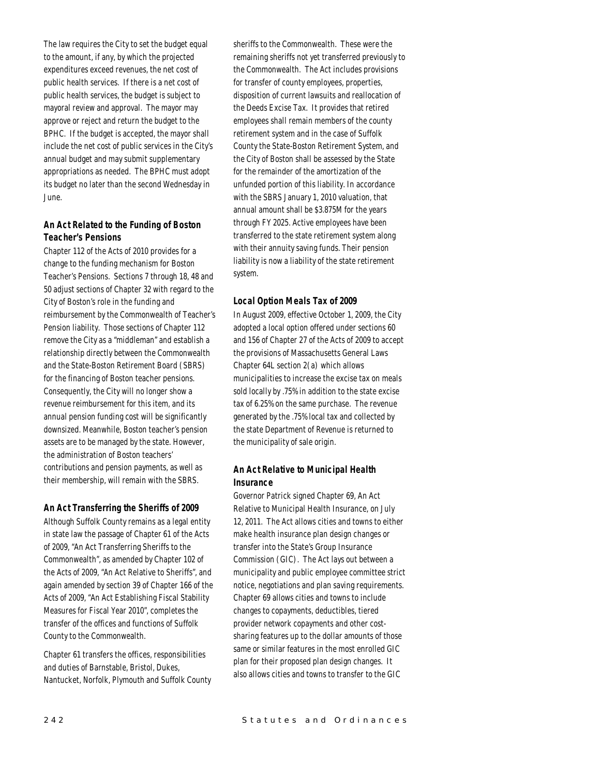The law requires the City to set the budget equal to the amount, if any, by which the projected expenditures exceed revenues, the net cost of public health services. If there is a net cost of public health services, the budget is subject to mayoral review and approval. The mayor may approve or reject and return the budget to the BPHC. If the budget is accepted, the mayor shall include the net cost of public services in the City's annual budget and may submit supplementary appropriations as needed. The BPHC must adopt its budget no later than the second Wednesday in June.

# *An Act Related to the Funding of Boston Teacher's Pensions*

Chapter 112 of the Acts of 2010 provides for a change to the funding mechanism for Boston Teacher's Pensions. Sections 7 through 18, 48 and 50 adjust sections of Chapter 32 with regard to the City of Boston's role in the funding and reimbursement by the Commonwealth of Teacher's Pension liability. Those sections of Chapter 112 remove the City as a "middleman" and establish a relationship directly between the Commonwealth and the State-Boston Retirement Board (SBRS) for the financing of Boston teacher pensions. Consequently, the City will no longer show a revenue reimbursement for this item, and its annual pension funding cost will be significantly downsized. Meanwhile, Boston teacher's pension assets are to be managed by the state. However, the administration of Boston teachers' contributions and pension payments, as well as their membership, will remain with the SBRS.

# *An Act Transferring the Sheriffs of 2009*

Although Suffolk County remains as a legal entity in state law the passage of Chapter 61 of the Acts of 2009, "An Act Transferring Sheriffs to the Commonwealth", as amended by Chapter 102 of the Acts of 2009, "An Act Relative to Sheriffs", and again amended by section 39 of Chapter 166 of the Acts of 2009, "An Act Establishing Fiscal Stability Measures for Fiscal Year 2010", completes the transfer of the offices and functions of Suffolk County to the Commonwealth.

Chapter 61 transfers the offices, responsibilities and duties of Barnstable, Bristol, Dukes, Nantucket, Norfolk, Plymouth and Suffolk County sheriffs to the Commonwealth. These were the remaining sheriffs not yet transferred previously to the Commonwealth. The Act includes provisions for transfer of county employees, properties, disposition of current lawsuits and reallocation of the Deeds Excise Tax. It provides that retired employees shall remain members of the county retirement system and in the case of Suffolk County the State-Boston Retirement System, and the City of Boston shall be assessed by the State for the remainder of the amortization of the unfunded portion of this liability. In accordance with the SBRS January 1, 2010 valuation, that annual amount shall be \$3.875M for the years through FY 2025. Active employees have been transferred to the state retirement system along with their annuity saving funds. Their pension liability is now a liability of the state retirement system.

# *Local Option Meals Tax of 2009*

In August 2009, effective October 1, 2009, the City adopted a local option offered under sections 60 and 156 of Chapter 27 of the Acts of 2009 to accept the provisions of Massachusetts General Laws Chapter 64L section 2(a) which allows municipalities to increase the excise tax on meals sold locally by .75% in addition to the state excise tax of 6.25% on the same purchase. The revenue generated by the .75% local tax and collected by the state Department of Revenue is returned to the municipality of sale origin.

# *An Act Relative to Municipal Health Insurance*

Governor Patrick signed Chapter 69, An Act Relative to Municipal Health Insurance, on July 12, 2011. The Act allows cities and towns to either make health insurance plan design changes or transfer into the State's Group Insurance Commission (GIC). The Act lays out between a municipality and public employee committee strict notice, negotiations and plan saving requirements. Chapter 69 allows cities and towns to include changes to copayments, deductibles, tiered provider network copayments and other costsharing features up to the dollar amounts of those same or similar features in the most enrolled GIC plan for their proposed plan design changes. It also allows cities and towns to transfer to the GIC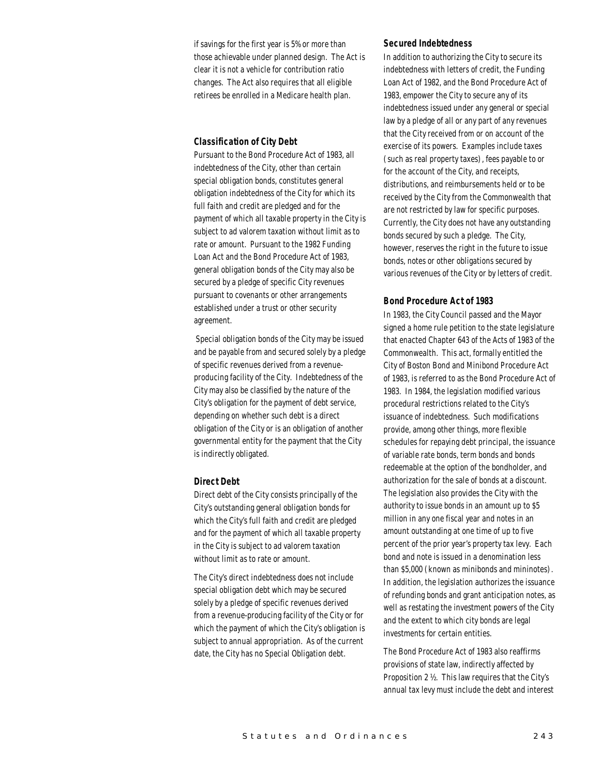if savings for the first year is 5% or more than those achievable under planned design. The Act is clear it is not a vehicle for contribution ratio changes. The Act also requires that all eligible retirees be enrolled in a Medicare health plan.

#### *Classification of City Debt*

Pursuant to the Bond Procedure Act of 1983, all indebtedness of the City, other than certain special obligation bonds, constitutes general obligation indebtedness of the City for which its full faith and credit are pledged and for the payment of which all taxable property in the City is subject to ad valorem taxation without limit as to rate or amount. Pursuant to the 1982 Funding Loan Act and the Bond Procedure Act of 1983, general obligation bonds of the City may also be secured by a pledge of specific City revenues pursuant to covenants or other arrangements established under a trust or other security agreement.

 Special obligation bonds of the City may be issued and be payable from and secured solely by a pledge of specific revenues derived from a revenueproducing facility of the City. Indebtedness of the City may also be classified by the nature of the City's obligation for the payment of debt service, depending on whether such debt is a direct obligation of the City or is an obligation of another governmental entity for the payment that the City is indirectly obligated.

# *Direct Debt*

Direct debt of the City consists principally of the City's outstanding general obligation bonds for which the City's full faith and credit are pledged and for the payment of which all taxable property in the City is subject to ad valorem taxation without limit as to rate or amount.

The City's direct indebtedness does not include special obligation debt which may be secured solely by a pledge of specific revenues derived from a revenue-producing facility of the City or for which the payment of which the City's obligation is subject to annual appropriation. As of the current date, the City has no Special Obligation debt.

#### *Secured Indebtedness*

In addition to authorizing the City to secure its indebtedness with letters of credit, the Funding Loan Act of 1982, and the Bond Procedure Act of 1983, empower the City to secure any of its indebtedness issued under any general or special law by a pledge of all or any part of any revenues that the City received from or on account of the exercise of its powers. Examples include taxes (such as real property taxes), fees payable to or for the account of the City, and receipts, distributions, and reimbursements held or to be received by the City from the Commonwealth that are not restricted by law for specific purposes. Currently, the City does not have any outstanding bonds secured by such a pledge. The City, however, reserves the right in the future to issue bonds, notes or other obligations secured by various revenues of the City or by letters of credit.

# *Bond Procedure Act of 1983*

In 1983, the City Council passed and the Mayor signed a home rule petition to the state legislature that enacted Chapter 643 of the Acts of 1983 of the Commonwealth. This act, formally entitled the City of Boston Bond and Minibond Procedure Act of 1983, is referred to as the Bond Procedure Act of 1983. In 1984, the legislation modified various procedural restrictions related to the City's issuance of indebtedness. Such modifications provide, among other things, more flexible schedules for repaying debt principal, the issuance of variable rate bonds, term bonds and bonds redeemable at the option of the bondholder, and authorization for the sale of bonds at a discount. The legislation also provides the City with the authority to issue bonds in an amount up to \$5 million in any one fiscal year and notes in an amount outstanding at one time of up to five percent of the prior year's property tax levy. Each bond and note is issued in a denomination less than \$5,000 (known as minibonds and mininotes). In addition, the legislation authorizes the issuance of refunding bonds and grant anticipation notes, as well as restating the investment powers of the City and the extent to which city bonds are legal investments for certain entities.

The Bond Procedure Act of 1983 also reaffirms provisions of state law, indirectly affected by Proposition 2 ½. This law requires that the City's annual tax levy must include the debt and interest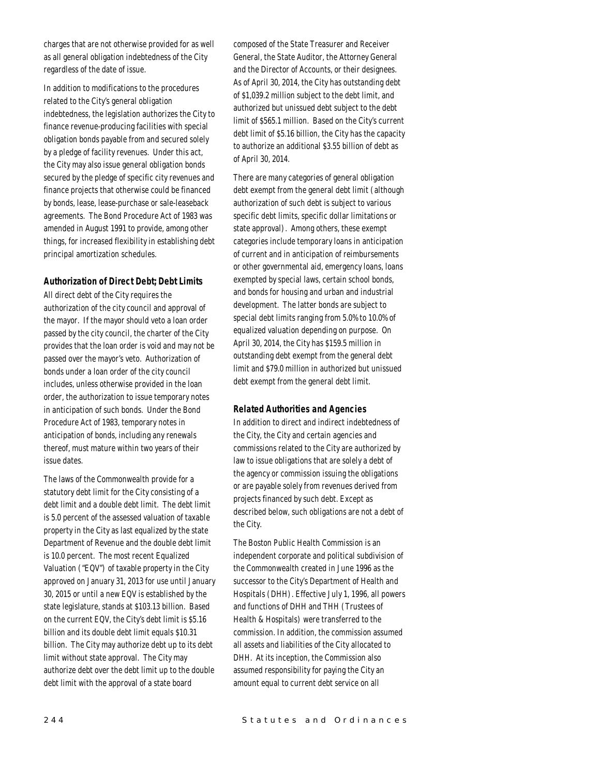charges that are not otherwise provided for as well as all general obligation indebtedness of the City regardless of the date of issue.

In addition to modifications to the procedures related to the City's general obligation indebtedness, the legislation authorizes the City to finance revenue-producing facilities with special obligation bonds payable from and secured solely by a pledge of facility revenues. Under this act, the City may also issue general obligation bonds secured by the pledge of specific city revenues and finance projects that otherwise could be financed by bonds, lease, lease-purchase or sale-leaseback agreements. The Bond Procedure Act of 1983 was amended in August 1991 to provide, among other things, for increased flexibility in establishing debt principal amortization schedules.

#### *Authorization of Direct Debt; Debt Limits*

All direct debt of the City requires the authorization of the city council and approval of the mayor. If the mayor should veto a loan order passed by the city council, the charter of the City provides that the loan order is void and may not be passed over the mayor's veto. Authorization of bonds under a loan order of the city council includes, unless otherwise provided in the loan order, the authorization to issue temporary notes in anticipation of such bonds. Under the Bond Procedure Act of 1983, temporary notes in anticipation of bonds, including any renewals thereof, must mature within two years of their issue dates.

The laws of the Commonwealth provide for a statutory debt limit for the City consisting of a debt limit and a double debt limit. The debt limit is 5.0 percent of the assessed valuation of taxable property in the City as last equalized by the state Department of Revenue and the double debt limit is 10.0 percent. The most recent Equalized Valuation ("EQV") of taxable property in the City approved on January 31, 2013 for use until January 30, 2015 or until a new EQV is established by the state legislature, stands at \$103.13 billion. Based on the current EQV, the City's debt limit is \$5.16 billion and its double debt limit equals \$10.31 billion. The City may authorize debt up to its debt limit without state approval. The City may authorize debt over the debt limit up to the double debt limit with the approval of a state board

composed of the State Treasurer and Receiver General, the State Auditor, the Attorney General and the Director of Accounts, or their designees. As of April 30, 2014, the City has outstanding debt of \$1,039.2 million subject to the debt limit, and authorized but unissued debt subject to the debt limit of \$565.1 million. Based on the City's current debt limit of \$5.16 billion, the City has the capacity to authorize an additional \$3.55 billion of debt as of April 30, 2014.

There are many categories of general obligation debt exempt from the general debt limit (although authorization of such debt is subject to various specific debt limits, specific dollar limitations or state approval). Among others, these exempt categories include temporary loans in anticipation of current and in anticipation of reimbursements or other governmental aid, emergency loans, loans exempted by special laws, certain school bonds, and bonds for housing and urban and industrial development. The latter bonds are subject to special debt limits ranging from 5.0% to 10.0% of equalized valuation depending on purpose. On April 30, 2014, the City has \$159.5 million in outstanding debt exempt from the general debt limit and \$79.0 million in authorized but unissued debt exempt from the general debt limit.

#### *Related Authorities and Agencies*

In addition to direct and indirect indebtedness of the City, the City and certain agencies and commissions related to the City are authorized by law to issue obligations that are solely a debt of the agency or commission issuing the obligations or are payable solely from revenues derived from projects financed by such debt. Except as described below, such obligations are not a debt of the City.

The Boston Public Health Commission is an independent corporate and political subdivision of the Commonwealth created in June 1996 as the successor to the City's Department of Health and Hospitals (DHH). Effective July 1, 1996, all powers and functions of DHH and THH (Trustees of Health & Hospitals) were transferred to the commission. In addition, the commission assumed all assets and liabilities of the City allocated to DHH. At its inception, the Commission also assumed responsibility for paying the City an amount equal to current debt service on all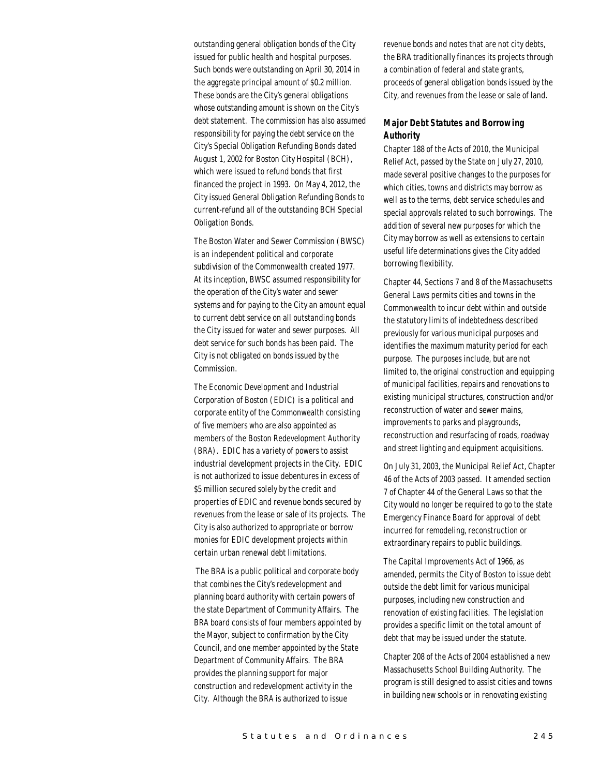outstanding general obligation bonds of the City issued for public health and hospital purposes. Such bonds were outstanding on April 30, 2014 in the aggregate principal amount of \$0.2 million. These bonds are the City's general obligations whose outstanding amount is shown on the City's debt statement. The commission has also assumed responsibility for paying the debt service on the City's Special Obligation Refunding Bonds dated August 1, 2002 for Boston City Hospital (BCH), which were issued to refund bonds that first financed the project in 1993. On May 4, 2012, the City issued General Obligation Refunding Bonds to current-refund all of the outstanding BCH Special Obligation Bonds.

The Boston Water and Sewer Commission (BWSC) is an independent political and corporate subdivision of the Commonwealth created 1977. At its inception, BWSC assumed responsibility for the operation of the City's water and sewer systems and for paying to the City an amount equal to current debt service on all outstanding bonds the City issued for water and sewer purposes. All debt service for such bonds has been paid. The City is not obligated on bonds issued by the Commission.

The Economic Development and Industrial Corporation of Boston (EDIC) is a political and corporate entity of the Commonwealth consisting of five members who are also appointed as members of the Boston Redevelopment Authority (BRA). EDIC has a variety of powers to assist industrial development projects in the City. EDIC is not authorized to issue debentures in excess of \$5 million secured solely by the credit and properties of EDIC and revenue bonds secured by revenues from the lease or sale of its projects. The City is also authorized to appropriate or borrow monies for EDIC development projects within certain urban renewal debt limitations.

 The BRA is a public political and corporate body that combines the City's redevelopment and planning board authority with certain powers of the state Department of Community Affairs. The BRA board consists of four members appointed by the Mayor, subject to confirmation by the City Council, and one member appointed by the State Department of Community Affairs. The BRA provides the planning support for major construction and redevelopment activity in the City. Although the BRA is authorized to issue

revenue bonds and notes that are not city debts, the BRA traditionally finances its projects through a combination of federal and state grants, proceeds of general obligation bonds issued by the City, and revenues from the lease or sale of land.

# *Major Debt Statutes and Borrowing Authority*

Chapter 188 of the Acts of 2010, the Municipal Relief Act, passed by the State on July 27, 2010, made several positive changes to the purposes for which cities, towns and districts may borrow as well as to the terms, debt service schedules and special approvals related to such borrowings. The addition of several new purposes for which the City may borrow as well as extensions to certain useful life determinations gives the City added borrowing flexibility.

Chapter 44, Sections 7 and 8 of the Massachusetts General Laws permits cities and towns in the Commonwealth to incur debt within and outside the statutory limits of indebtedness described previously for various municipal purposes and identifies the maximum maturity period for each purpose. The purposes include, but are not limited to, the original construction and equipping of municipal facilities, repairs and renovations to existing municipal structures, construction and/or reconstruction of water and sewer mains, improvements to parks and playgrounds, reconstruction and resurfacing of roads, roadway and street lighting and equipment acquisitions.

On July 31, 2003, the Municipal Relief Act, Chapter 46 of the Acts of 2003 passed. It amended section 7 of Chapter 44 of the General Laws so that the City would no longer be required to go to the state Emergency Finance Board for approval of debt incurred for remodeling, reconstruction or extraordinary repairs to public buildings.

The Capital Improvements Act of 1966, as amended, permits the City of Boston to issue debt outside the debt limit for various municipal purposes, including new construction and renovation of existing facilities. The legislation provides a specific limit on the total amount of debt that may be issued under the statute.

Chapter 208 of the Acts of 2004 established a new Massachusetts School Building Authority. The program is still designed to assist cities and towns in building new schools or in renovating existing